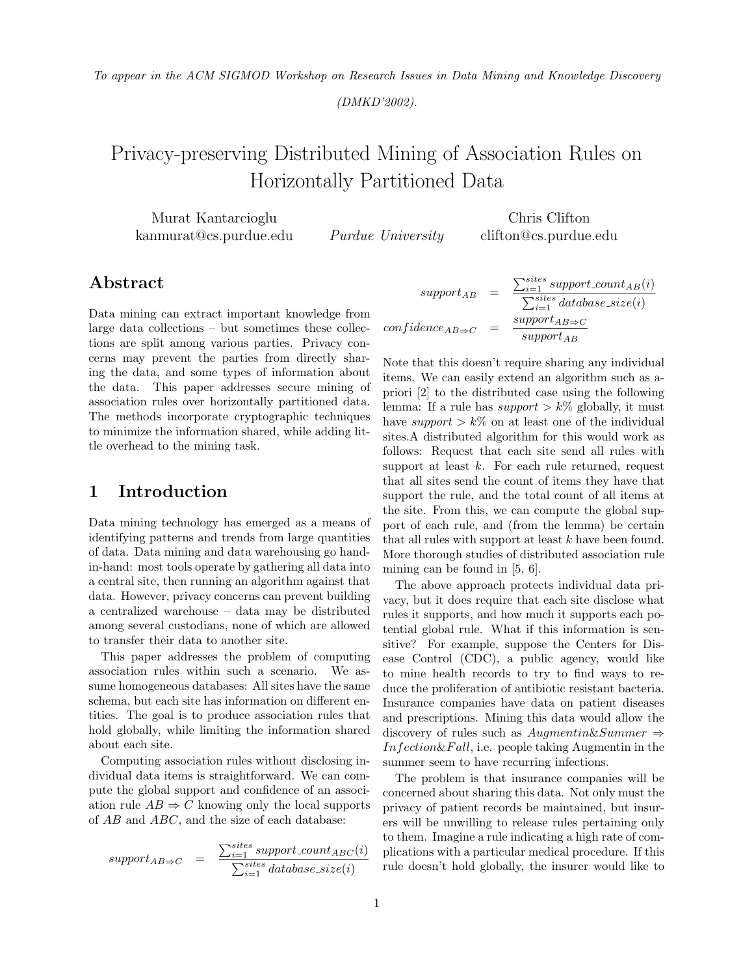(DMKD'2002).

# Privacy-preserving Distributed Mining of Association Rules on Horizontally Partitioned Data

Murat Kantarcioglu kanmurat@cs.purdue.edu Purdue University

Chris Clifton clifton@cs.purdue.edu

## Abstract

Data mining can extract important knowledge from large data collections – but sometimes these collections are split among various parties. Privacy concerns may prevent the parties from directly sharing the data, and some types of information about the data. This paper addresses secure mining of association rules over horizontally partitioned data. The methods incorporate cryptographic techniques to minimize the information shared, while adding little overhead to the mining task.

## 1 Introduction

Data mining technology has emerged as a means of identifying patterns and trends from large quantities of data. Data mining and data warehousing go handin-hand: most tools operate by gathering all data into a central site, then running an algorithm against that data. However, privacy concerns can prevent building a centralized warehouse – data may be distributed among several custodians, none of which are allowed to transfer their data to another site.

This paper addresses the problem of computing association rules within such a scenario. We assume homogeneous databases: All sites have the same schema, but each site has information on different entities. The goal is to produce association rules that hold globally, while limiting the information shared about each site.

Computing association rules without disclosing individual data items is straightforward. We can compute the global support and confidence of an association rule  $AB \Rightarrow C$  knowing only the local supports of AB and ABC, and the size of each database:

$$
support_{AB \Rightarrow C} \quad = \quad \frac{\sum_{i=1}^{sites} support\_count_{ABC}(i)}{\sum_{i=1}^{sites} database\_size(i)}
$$

$$
support_{AB} = \frac{\sum_{i=1}^{sites} support\_count_{AB}(i)}{\sum_{i=1}^{sites} database\_size(i)}
$$

$$
confidence_{AB \Rightarrow C} = \frac{support_{AB \Rightarrow C}}{support_{AB}}
$$

Note that this doesn't require sharing any individual items. We can easily extend an algorithm such as apriori [2] to the distributed case using the following lemma: If a rule has  $support > k\%$  globally, it must have support  $\geq k\%$  on at least one of the individual sites.A distributed algorithm for this would work as follows: Request that each site send all rules with support at least  $k$ . For each rule returned, request that all sites send the count of items they have that support the rule, and the total count of all items at the site. From this, we can compute the global support of each rule, and (from the lemma) be certain that all rules with support at least k have been found. More thorough studies of distributed association rule mining can be found in [5, 6].

The above approach protects individual data privacy, but it does require that each site disclose what rules it supports, and how much it supports each potential global rule. What if this information is sensitive? For example, suppose the Centers for Disease Control (CDC), a public agency, would like to mine health records to try to find ways to reduce the proliferation of antibiotic resistant bacteria. Insurance companies have data on patient diseases and prescriptions. Mining this data would allow the discovery of rules such as  $Augmentin\&Summer \Rightarrow$ Infection&Fall, i.e. people taking Augmentin in the summer seem to have recurring infections.

The problem is that insurance companies will be concerned about sharing this data. Not only must the privacy of patient records be maintained, but insurers will be unwilling to release rules pertaining only to them. Imagine a rule indicating a high rate of complications with a particular medical procedure. If this rule doesn't hold globally, the insurer would like to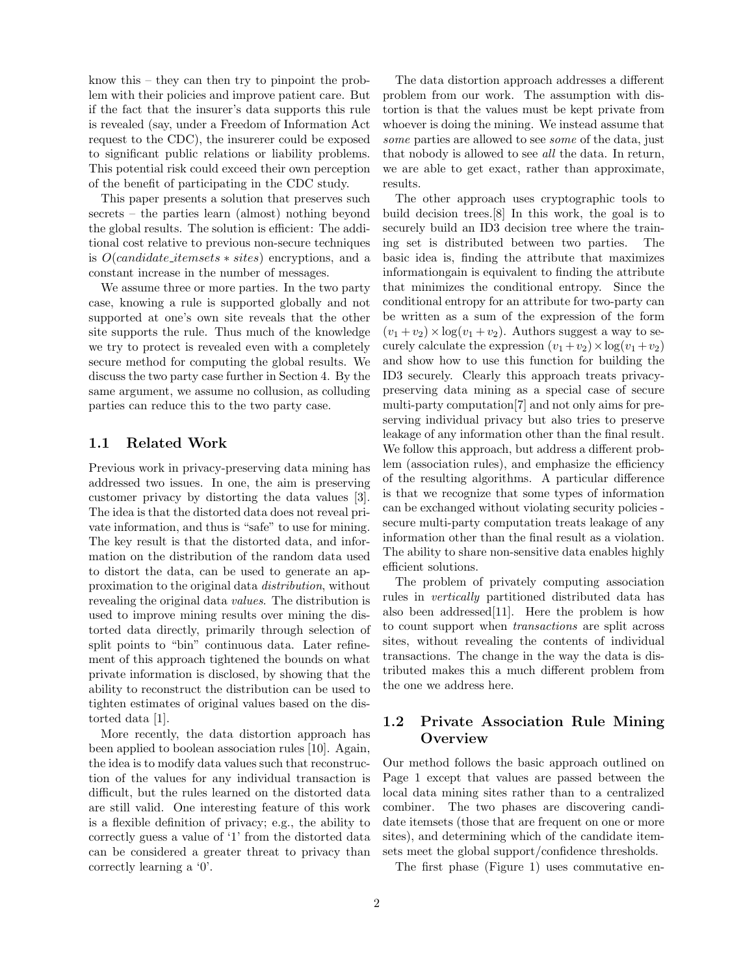know this – they can then try to pinpoint the problem with their policies and improve patient care. But if the fact that the insurer's data supports this rule is revealed (say, under a Freedom of Information Act request to the CDC), the insurerer could be exposed to significant public relations or liability problems. This potential risk could exceed their own perception of the benefit of participating in the CDC study.

This paper presents a solution that preserves such secrets – the parties learn (almost) nothing beyond the global results. The solution is efficient: The additional cost relative to previous non-secure techniques is O(candidate itemsets ∗ sites) encryptions, and a constant increase in the number of messages.

We assume three or more parties. In the two party case, knowing a rule is supported globally and not supported at one's own site reveals that the other site supports the rule. Thus much of the knowledge we try to protect is revealed even with a completely secure method for computing the global results. We discuss the two party case further in Section 4. By the same argument, we assume no collusion, as colluding parties can reduce this to the two party case.

#### 1.1 Related Work

Previous work in privacy-preserving data mining has addressed two issues. In one, the aim is preserving customer privacy by distorting the data values [3]. The idea is that the distorted data does not reveal private information, and thus is "safe" to use for mining. The key result is that the distorted data, and information on the distribution of the random data used to distort the data, can be used to generate an approximation to the original data distribution, without revealing the original data values. The distribution is used to improve mining results over mining the distorted data directly, primarily through selection of split points to "bin" continuous data. Later refinement of this approach tightened the bounds on what private information is disclosed, by showing that the ability to reconstruct the distribution can be used to tighten estimates of original values based on the distorted data [1].

More recently, the data distortion approach has been applied to boolean association rules [10]. Again, the idea is to modify data values such that reconstruction of the values for any individual transaction is difficult, but the rules learned on the distorted data are still valid. One interesting feature of this work is a flexible definition of privacy; e.g., the ability to correctly guess a value of '1' from the distorted data can be considered a greater threat to privacy than correctly learning a '0'.

The data distortion approach addresses a different problem from our work. The assumption with distortion is that the values must be kept private from whoever is doing the mining. We instead assume that some parties are allowed to see *some* of the data, just that nobody is allowed to see all the data. In return, we are able to get exact, rather than approximate, results.

The other approach uses cryptographic tools to build decision trees.[8] In this work, the goal is to securely build an ID3 decision tree where the training set is distributed between two parties. The basic idea is, finding the attribute that maximizes informationgain is equivalent to finding the attribute that minimizes the conditional entropy. Since the conditional entropy for an attribute for two-party can be written as a sum of the expression of the form  $(v_1 + v_2) \times \log(v_1 + v_2)$ . Authors suggest a way to securely calculate the expression  $(v_1 + v_2) \times \log(v_1 + v_2)$ and show how to use this function for building the ID3 securely. Clearly this approach treats privacypreserving data mining as a special case of secure multi-party computation[7] and not only aims for preserving individual privacy but also tries to preserve leakage of any information other than the final result. We follow this approach, but address a different problem (association rules), and emphasize the efficiency of the resulting algorithms. A particular difference is that we recognize that some types of information can be exchanged without violating security policies secure multi-party computation treats leakage of any information other than the final result as a violation. The ability to share non-sensitive data enables highly efficient solutions.

The problem of privately computing association rules in vertically partitioned distributed data has also been addressed[11]. Here the problem is how to count support when transactions are split across sites, without revealing the contents of individual transactions. The change in the way the data is distributed makes this a much different problem from the one we address here.

#### 1.2 Private Association Rule Mining **Overview**

Our method follows the basic approach outlined on Page 1 except that values are passed between the local data mining sites rather than to a centralized combiner. The two phases are discovering candidate itemsets (those that are frequent on one or more sites), and determining which of the candidate itemsets meet the global support/confidence thresholds.

The first phase (Figure 1) uses commutative en-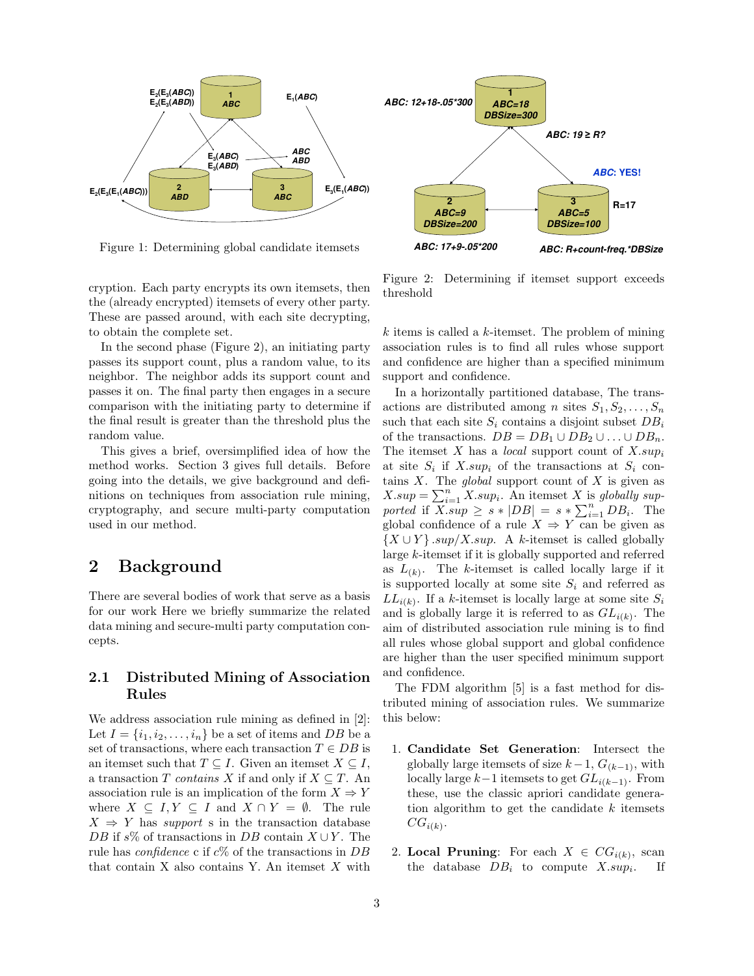

Figure 1: Determining global candidate itemsets

cryption. Each party encrypts its own itemsets, then the (already encrypted) itemsets of every other party. These are passed around, with each site decrypting, to obtain the complete set.

In the second phase (Figure 2), an initiating party passes its support count, plus a random value, to its neighbor. The neighbor adds its support count and passes it on. The final party then engages in a secure comparison with the initiating party to determine if the final result is greater than the threshold plus the random value.

This gives a brief, oversimplified idea of how the method works. Section 3 gives full details. Before going into the details, we give background and definitions on techniques from association rule mining, cryptography, and secure multi-party computation used in our method.

## 2 Background

There are several bodies of work that serve as a basis for our work Here we briefly summarize the related data mining and secure-multi party computation concepts.

### 2.1 Distributed Mining of Association Rules

We address association rule mining as defined in [2]: Let  $I = \{i_1, i_2, \ldots, i_n\}$  be a set of items and DB be a set of transactions, where each transaction  $T \in DB$  is an itemset such that  $T \subseteq I$ . Given an itemset  $X \subseteq I$ , a transaction T contains X if and only if  $X \subseteq T$ . An association rule is an implication of the form  $X \Rightarrow Y$ where  $X \subseteq I, Y \subseteq I$  and  $X \cap Y = \emptyset$ . The rule  $X \Rightarrow Y$  has support s in the transaction database DB if s% of transactions in DB contain  $X \cup Y$ . The rule has *confidence* c if  $c\%$  of the transactions in DB that contain  $X$  also contains Y. An itemset  $X$  with



Figure 2: Determining if itemset support exceeds threshold

 $k$  items is called a  $k$ -itemset. The problem of mining association rules is to find all rules whose support and confidence are higher than a specified minimum support and confidence.

In a horizontally partitioned database, The transactions are distributed among n sites  $S_1, S_2, \ldots, S_n$ such that each site  $S_i$  contains a disjoint subset  $DB_i$ of the transactions.  $DB = DB_1 \cup DB_2 \cup ... \cup DB_n$ . The itemset X has a *local* support count of  $X.\mathfrak{sup}_i$ at site  $S_i$  if  $X.\sup_i$  of the transactions at  $S_i$  contains  $X$ . The global support count of  $X$  is given as  $X.\sup = \sum_{i=1}^{n} X.\sup_{i}$ . An itemset X is globally supported if  $X.\overline{sup} \geq s*|DB| = s*\sum_{i=1}^n DB_i$ . The global confidence of a rule  $X \Rightarrow Y$  can be given as  $\{X \cup Y\}$ .sup/X.sup. A k-itemset is called globally large k-itemset if it is globally supported and referred as  $L_{(k)}$ . The k-itemset is called locally large if it is supported locally at some site  $S_i$  and referred as  $LL_{i(k)}$ . If a k-itemset is locally large at some site  $S_i$ and is globally large it is referred to as  $GL_{i(k)}$ . The aim of distributed association rule mining is to find all rules whose global support and global confidence are higher than the user specified minimum support and confidence.

The FDM algorithm [5] is a fast method for distributed mining of association rules. We summarize this below:

- 1. Candidate Set Generation: Intersect the globally large itemsets of size  $k-1$ ,  $G_{(k-1)}$ , with locally large  $k-1$  itemsets to get  $GL_{i(k-1)}$ . From these, use the classic apriori candidate generation algorithm to get the candidate  $k$  itemsets  $CG_{i(k)}$ .
- 2. Local Pruning: For each  $X \in CG_{i(k)}$ , scan the database  $DB_i$  to compute  $X.\text{sup}_i$ . . If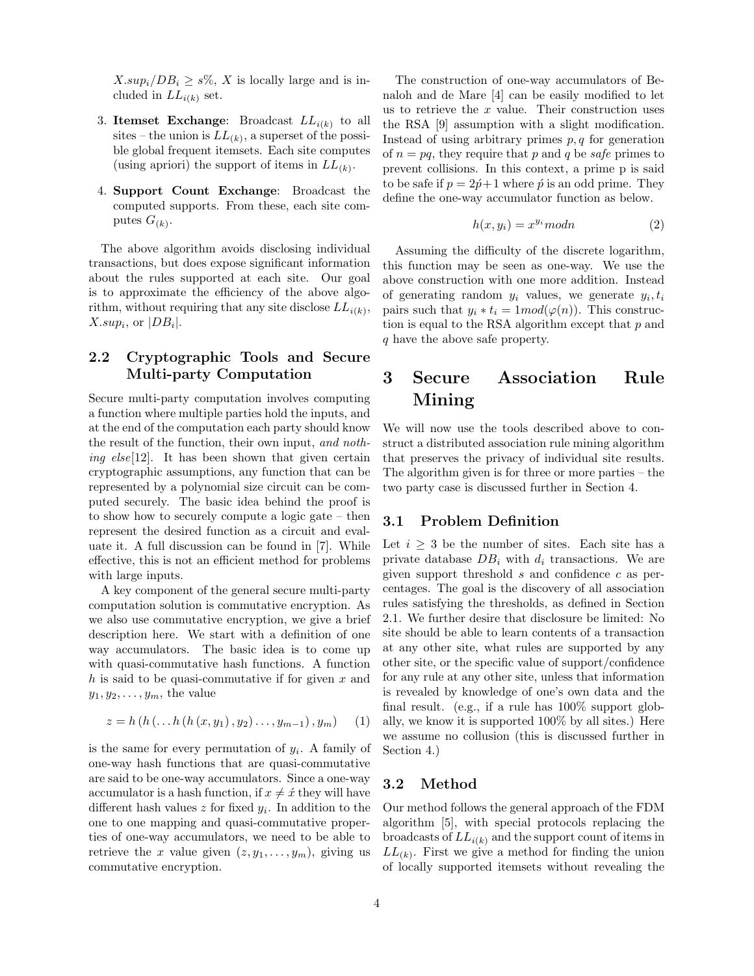$X.\sup_i/DB_i \geq s\%, X$  is locally large and is included in  $LL_{i(k)}$  set.

- 3. Itemset Exchange: Broadcast  $LL_{i(k)}$  to all sites – the union is  $LL_{(k)}$ , a superset of the possible global frequent itemsets. Each site computes (using apriori) the support of items in  $LL_{(k)}$ .
- 4. Support Count Exchange: Broadcast the computed supports. From these, each site computes  $G_{(k)}$ .

The above algorithm avoids disclosing individual transactions, but does expose significant information about the rules supported at each site. Our goal is to approximate the efficiency of the above algorithm, without requiring that any site disclose  $LL_{i(k)}$ ,  $X.\sup_i$ , or  $|DB_i|$ .

### 2.2 Cryptographic Tools and Secure Multi-party Computation

Secure multi-party computation involves computing a function where multiple parties hold the inputs, and at the end of the computation each party should know the result of the function, their own input, and nothing  $else[12]$ . It has been shown that given certain cryptographic assumptions, any function that can be represented by a polynomial size circuit can be computed securely. The basic idea behind the proof is to show how to securely compute a logic gate – then represent the desired function as a circuit and evaluate it. A full discussion can be found in [7]. While effective, this is not an efficient method for problems with large inputs.

A key component of the general secure multi-party computation solution is commutative encryption. As we also use commutative encryption, we give a brief description here. We start with a definition of one way accumulators. The basic idea is to come up with quasi-commutative hash functions. A function h is said to be quasi-commutative if for given x and  $y_1, y_2, \ldots, y_m$ , the value

$$
z = h(h(...h(h(x,y_1),y_2)...,y_{m-1}),y_m)
$$
 (1)

is the same for every permutation of  $y_i$ . A family of one-way hash functions that are quasi-commutative are said to be one-way accumulators. Since a one-way accumulator is a hash function, if  $x \neq \hat{x}$  they will have different hash values  $z$  for fixed  $y_i$ . In addition to the one to one mapping and quasi-commutative properties of one-way accumulators, we need to be able to retrieve the x value given  $(z, y_1, \ldots, y_m)$ , giving us commutative encryption.

The construction of one-way accumulators of Benaloh and de Mare [4] can be easily modified to let us to retrieve the  $x$  value. Their construction uses the RSA [9] assumption with a slight modification. Instead of using arbitrary primes  $p, q$  for generation of  $n = pq$ , they require that p and q be safe primes to prevent collisions. In this context, a prime p is said to be safe if  $p = 2p + 1$  where p is an odd prime. They define the one-way accumulator function as below.

$$
h(x, y_i) = x^{y_i} \mod n \tag{2}
$$

Assuming the difficulty of the discrete logarithm, this function may be seen as one-way. We use the above construction with one more addition. Instead of generating random  $y_i$  values, we generate  $y_i, t_i$ pairs such that  $y_i * t_i = 1 \mod(\varphi(n))$ . This construction is equal to the RSA algorithm except that  $p$  and q have the above safe property.

## 3 Secure Association Rule Mining

We will now use the tools described above to construct a distributed association rule mining algorithm that preserves the privacy of individual site results. The algorithm given is for three or more parties – the two party case is discussed further in Section 4.

#### 3.1 Problem Definition

Let  $i > 3$  be the number of sites. Each site has a private database  $DB_i$  with  $d_i$  transactions. We are given support threshold  $s$  and confidence  $c$  as percentages. The goal is the discovery of all association rules satisfying the thresholds, as defined in Section 2.1. We further desire that disclosure be limited: No site should be able to learn contents of a transaction at any other site, what rules are supported by any other site, or the specific value of support/confidence for any rule at any other site, unless that information is revealed by knowledge of one's own data and the final result. (e.g., if a rule has 100% support globally, we know it is supported 100% by all sites.) Here we assume no collusion (this is discussed further in Section 4.)

#### 3.2 Method

Our method follows the general approach of the FDM algorithm [5], with special protocols replacing the broadcasts of  $LL_{i(k)}$  and the support count of items in  $LL_{(k)}$ . First we give a method for finding the union of locally supported itemsets without revealing the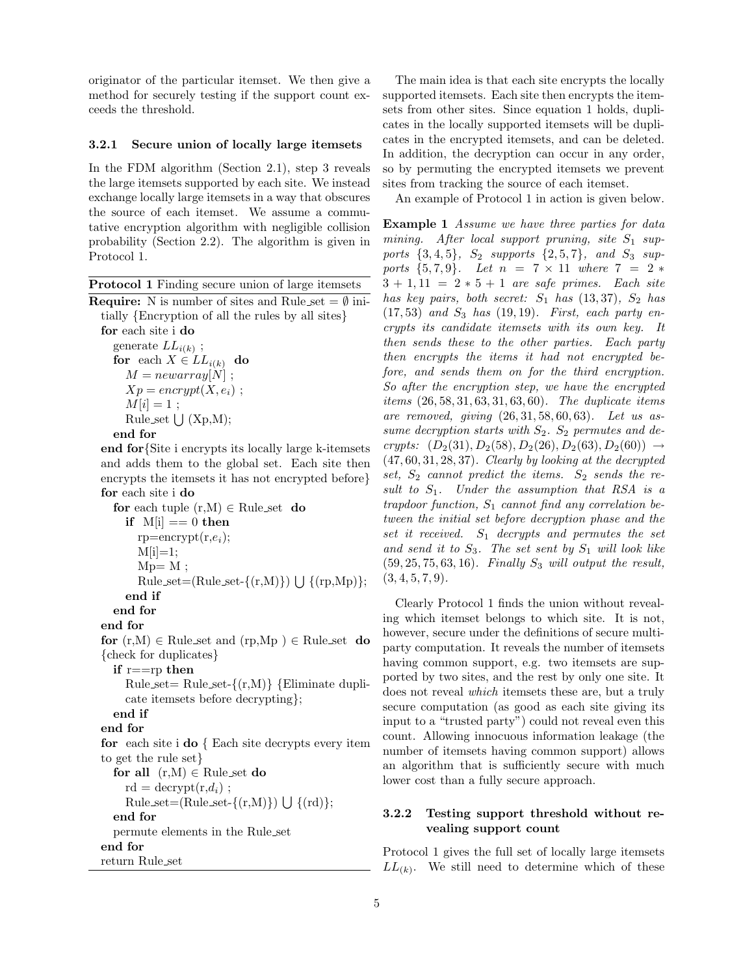originator of the particular itemset. We then give a method for securely testing if the support count exceeds the threshold.

#### 3.2.1 Secure union of locally large itemsets

In the FDM algorithm (Section 2.1), step 3 reveals the large itemsets supported by each site. We instead exchange locally large itemsets in a way that obscures the source of each itemset. We assume a commutative encryption algorithm with negligible collision probability (Section 2.2). The algorithm is given in Protocol 1.

Protocol 1 Finding secure union of large itemsets **Require:** N is number of sites and Rule set  $=\emptyset$  initially {Encryption of all the rules by all sites} for each site i do generate  $LL_{i(k)}$ ; for each  $X \in LL_{i(k)}$  do  $M = new array[N]$ ;  $Xp = encrypt(X, e_i);$  $M[i] = 1;$ Rule\_set  $\bigcup$  (Xp,M); end for end for{Site i encrypts its locally large k-itemsets and adds them to the global set. Each site then encrypts the itemsets it has not encrypted before} for each site i do for each tuple  $(r,M) \in \text{Rule set }$  do if  $M[i] == 0$  then  $rp = \n\text{encrypt}(r,e_i);$  $M[i]=1;$  $Mp = M$ : Rule\_set=(Rule\_set-{ $(r,M)$ })  $\bigcup$  { $(rp,Mp)$ }; end if end for end for for  $(r,M) \in \text{Rule}$  set and  $(rp,Mp) \in \text{Rule}$  set do {check for duplicates} if r==rp then Rule set = Rule set- $\{(r,M)\}\$  {Eliminate duplicate itemsets before decrypting}; end if end for for each site i do { Each site decrypts every item to get the rule set} for all  $(r,M) \in$  Rule set do  $rd = \text{decrypt}(r,d_i)$ ; Rule\_set= $(Rule_set-{r,M})\bigcup {(rd)};$ end for permute elements in the Rule set end for return Rule set

The main idea is that each site encrypts the locally supported itemsets. Each site then encrypts the itemsets from other sites. Since equation 1 holds, duplicates in the locally supported itemsets will be duplicates in the encrypted itemsets, and can be deleted. In addition, the decryption can occur in any order, so by permuting the encrypted itemsets we prevent sites from tracking the source of each itemset.

An example of Protocol 1 in action is given below.

Example 1 Assume we have three parties for data mining. After local support pruning, site  $S_1$  supports  $\{3, 4, 5\}$ ,  $S_2$  supports  $\{2, 5, 7\}$ , and  $S_3$  supports  $\{5, 7, 9\}$ . Let  $n = 7 \times 11$  where  $7 = 2$  \*  $3 + 1, 11 = 2 * 5 + 1$  are safe primes. Each site has key pairs, both secret:  $S_1$  has  $(13, 37)$ ,  $S_2$  has  $(17, 53)$  and  $S_3$  has  $(19, 19)$ . First, each party encrypts its candidate itemsets with its own key. It then sends these to the other parties. Each party then encrypts the items it had not encrypted before, and sends them on for the third encryption. So after the encryption step, we have the encrypted items (26, 58, 31, 63, 31, 63, 60). The duplicate items are removed, giving  $(26, 31, 58, 60, 63)$ . Let us assume decryption starts with  $S_2$ .  $S_2$  permutes and decrypts:  $(D_2(31), D_2(58), D_2(26), D_2(63), D_2(60)) \rightarrow$  $(47, 60, 31, 28, 37)$ . Clearly by looking at the decrypted set,  $S_2$  cannot predict the items.  $S_2$  sends the result to  $S_1$ . Under the assumption that RSA is a trapdoor function,  $S_1$  cannot find any correlation between the initial set before decryption phase and the set it received.  $S_1$  decrypts and permutes the set and send it to  $S_3$ . The set sent by  $S_1$  will look like  $(59, 25, 75, 63, 16)$ . Finally  $S_3$  will output the result,  $(3, 4, 5, 7, 9).$ 

Clearly Protocol 1 finds the union without revealing which itemset belongs to which site. It is not, however, secure under the definitions of secure multiparty computation. It reveals the number of itemsets having common support, e.g. two itemsets are supported by two sites, and the rest by only one site. It does not reveal which itemsets these are, but a truly secure computation (as good as each site giving its input to a "trusted party") could not reveal even this count. Allowing innocuous information leakage (the number of itemsets having common support) allows an algorithm that is sufficiently secure with much lower cost than a fully secure approach.

#### 3.2.2 Testing support threshold without revealing support count

Protocol 1 gives the full set of locally large itemsets  $LL_{(k)}$ . We still need to determine which of these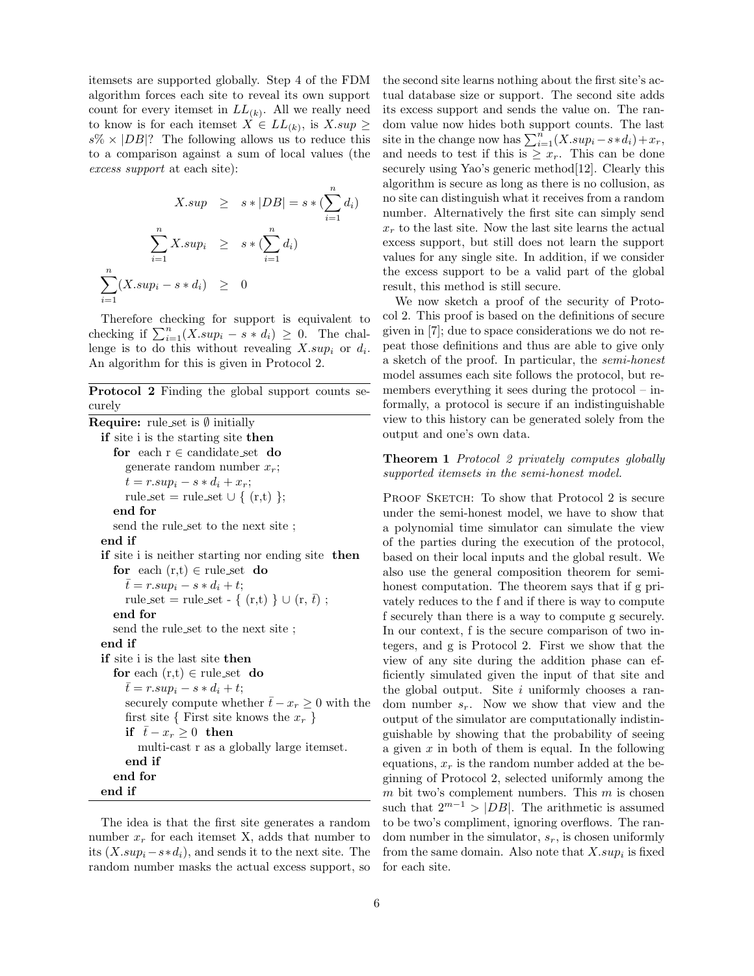itemsets are supported globally. Step 4 of the FDM algorithm forces each site to reveal its own support count for every itemset in  $LL_{(k)}$ . All we really need to know is for each itemset  $X \in LL_{(k)}$ , is  $X.\sup \geq$  $s\% \times |DB|$ ? The following allows us to reduce this to a comparison against a sum of local values (the excess support at each site):

$$
X.sum \geq s * |DB| = s * (\sum_{i=1}^{n} d_i)
$$

$$
\sum_{i=1}^{n} X.sum_i \geq s * (\sum_{i=1}^{n} d_i)
$$

$$
\sum_{i=1}^{n} (X.sum_i - s * d_i) \geq 0
$$

Therefore checking for support is equivalent to checking if  $\sum_{i=1}^{n} (X.sub_i - s * d_i) \geq 0$ . The challenge is to do this without revealing  $X.\text{sup}_i$  or  $d_i$ . An algorithm for this is given in Protocol 2.

Protocol 2 Finding the global support counts securely

| <b>Require:</b> rule set is $\emptyset$ initially         |
|-----------------------------------------------------------|
| if site i is the starting site then                       |
| for each $r \in$ candidate set do                         |
| generate random number $x_r$ ;                            |
| $t = r \cdot sup_i - s * d_i + x_r;$                      |
| rule set = rule set $\cup \{ (r,t) \}$ ;                  |
| end for                                                   |
| send the rule set to the next site;                       |
| end if                                                    |
| if site i is neither starting nor ending site then        |
| for each $(r,t) \in$ rule set do                          |
| $\bar{t} = r \cdot sup_i - s * d_i + t;$                  |
| rule set = rule set - { $(r,t)$ } $\cup$ $(r, \bar{t})$ ; |
| end for                                                   |
| send the rule set to the next site;                       |
| end if                                                    |
| <b>if</b> site i is the last site <b>then</b>             |
| for each $(r,t) \in$ rule set do                          |
| $\bar{t} = r \cdot sup_i - s * d_i + t;$                  |
| securely compute whether $\bar{t} - x_r \geq 0$ with the  |
| first site { First site knows the $x_r$ }                 |
| if $\bar{t} - x_r \geq 0$ then                            |
| multi-cast r as a globally large itemset.                 |
| end if                                                    |
| end for                                                   |
| end if                                                    |

The idea is that the first site generates a random number  $x_r$  for each itemset X, adds that number to its  $(X.sum<sub>i</sub> − s*d<sub>i</sub>)$ , and sends it to the next site. The random number masks the actual excess support, so the second site learns nothing about the first site's actual database size or support. The second site adds its excess support and sends the value on. The random value now hides both support counts. The last site in the change now has  $\sum_{i=1}^{n} (X.\sup_{i} - s * d_i) + x_r$ , and needs to test if this is  $\geq x_r$ . This can be done securely using Yao's generic method<sup>[12]</sup>. Clearly this algorithm is secure as long as there is no collusion, as no site can distinguish what it receives from a random number. Alternatively the first site can simply send  $x<sub>r</sub>$  to the last site. Now the last site learns the actual excess support, but still does not learn the support values for any single site. In addition, if we consider the excess support to be a valid part of the global result, this method is still secure.

We now sketch a proof of the security of Protocol 2. This proof is based on the definitions of secure given in [7]; due to space considerations we do not repeat those definitions and thus are able to give only a sketch of the proof. In particular, the semi-honest model assumes each site follows the protocol, but remembers everything it sees during the protocol – informally, a protocol is secure if an indistinguishable view to this history can be generated solely from the output and one's own data.

#### Theorem 1 Protocol 2 privately computes globally supported itemsets in the semi-honest model.

PROOF SKETCH: To show that Protocol 2 is secure under the semi-honest model, we have to show that a polynomial time simulator can simulate the view of the parties during the execution of the protocol, based on their local inputs and the global result. We also use the general composition theorem for semihonest computation. The theorem says that if g privately reduces to the f and if there is way to compute f securely than there is a way to compute g securely. In our context, f is the secure comparison of two integers, and g is Protocol 2. First we show that the view of any site during the addition phase can efficiently simulated given the input of that site and the global output. Site  $i$  uniformly chooses a random number  $s_r$ . Now we show that view and the output of the simulator are computationally indistinguishable by showing that the probability of seeing a given  $x$  in both of them is equal. In the following equations,  $x_r$  is the random number added at the beginning of Protocol 2, selected uniformly among the  $m$  bit two's complement numbers. This  $m$  is chosen such that  $2^{m-1}$  >  $|DB|$ . The arithmetic is assumed to be two's compliment, ignoring overflows. The random number in the simulator,  $s_r$ , is chosen uniformly from the same domain. Also note that  $X.\sup_i$  is fixed for each site.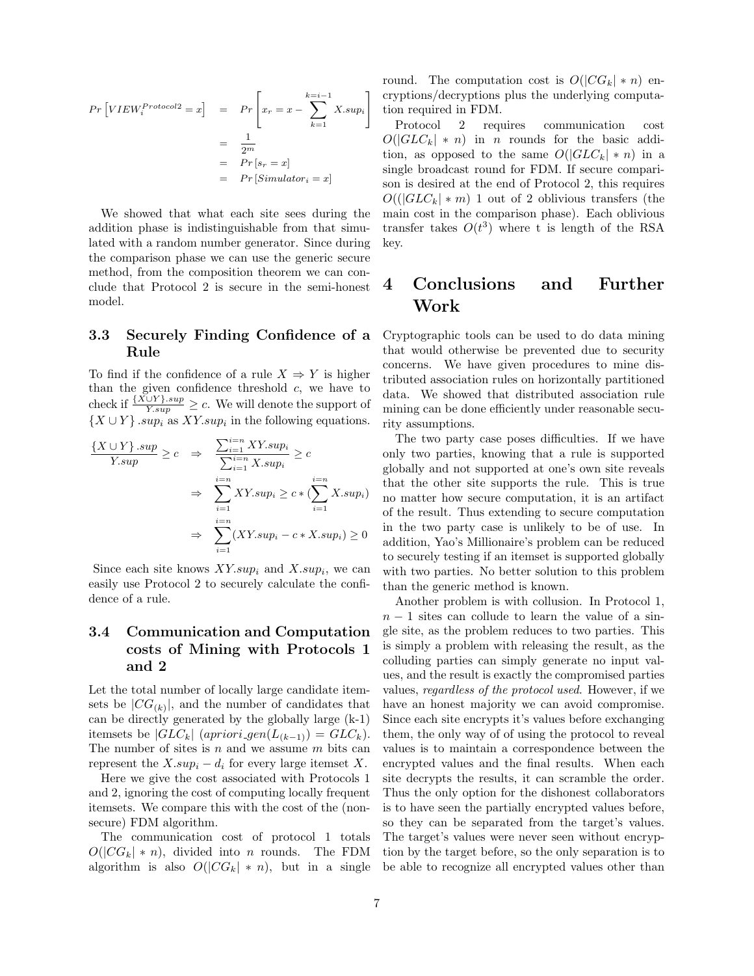$$
Pr\left[VIEW_i^{Protocol2} = x\right] = Pr\left[x_r = x - \sum_{k=1}^{k=i-1} X.sub_i\right]
$$

$$
= \frac{1}{2^m}
$$

$$
= Pr\left[s_r = x\right]
$$

$$
= Pr\left[Simulator_i = x\right]
$$

We showed that what each site sees during the addition phase is indistinguishable from that simulated with a random number generator. Since during the comparison phase we can use the generic secure method, from the composition theorem we can conclude that Protocol 2 is secure in the semi-honest model.

#### 3.3 Securely Finding Confidence of a Rule

To find if the confidence of a rule  $X \Rightarrow Y$  is higher than the given confidence threshold  $c$ , we have to check if  $\frac{\{X \cup Y\} \cdot sup}{Y \cdot sup} \geq c$ . We will denote the support of  $\{X \cup Y\}$  *sup<sub>i</sub>* as  $XY$ *sup<sub>i</sub>* in the following equations.

$$
\frac{\{X \cup Y\} \cdot \sup}{Y \cdot \sup} \ge c \quad \Rightarrow \quad \frac{\sum_{i=1}^{i=n} XY \cdot \sup_{i} \ge c}{\sum_{i=1}^{i=n} X \cdot \sup_{i} \ge c}
$$
\n
$$
\Rightarrow \quad \sum_{i=1}^{i=n} XY \cdot \sup_{i} \ge c * (\sum_{i=1}^{i=n} X \cdot \sup_{i})
$$
\n
$$
\Rightarrow \quad \sum_{i=1}^{i=n} (XY \cdot \sup_{i} - c * X \cdot \sup_{i}) \ge 0
$$

Since each site knows  $XY$ .sup<sub>i</sub> and  $X$ .sup<sub>i</sub>, we can easily use Protocol 2 to securely calculate the confidence of a rule.

## 3.4 Communication and Computation costs of Mining with Protocols 1 and 2

Let the total number of locally large candidate itemsets be  $|CG_{(k)}|$ , and the number of candidates that can be directly generated by the globally large (k-1) itemsets be  $|GLC_k|$  (apriori gen $(L_{(k-1)}) = GLC_k$ ). The number of sites is  $n$  and we assume  $m$  bits can represent the  $X.\sup_i - d_i$  for every large itemset X.

Here we give the cost associated with Protocols 1 and 2, ignoring the cost of computing locally frequent itemsets. We compare this with the cost of the (nonsecure) FDM algorithm.

The communication cost of protocol 1 totals  $O(|CG_k| * n)$ , divided into *n* rounds. The FDM algorithm is also  $O(|CG_k| * n)$ , but in a single round. The computation cost is  $O(|CG_k| * n)$  encryptions/decryptions plus the underlying computation required in FDM.

Protocol 2 requires communication cost  $O(|GLC_k| * n)$  in n rounds for the basic addition, as opposed to the same  $O(|GLC_k| * n)$  in a single broadcast round for FDM. If secure comparison is desired at the end of Protocol 2, this requires  $O((|GLC_k| * m)$  1 out of 2 oblivious transfers (the main cost in the comparison phase). Each oblivious transfer takes  $O(t^3)$  where t is length of the RSA key.

## 4 Conclusions and Further Work

Cryptographic tools can be used to do data mining that would otherwise be prevented due to security concerns. We have given procedures to mine distributed association rules on horizontally partitioned data. We showed that distributed association rule mining can be done efficiently under reasonable security assumptions.

The two party case poses difficulties. If we have only two parties, knowing that a rule is supported globally and not supported at one's own site reveals that the other site supports the rule. This is true no matter how secure computation, it is an artifact of the result. Thus extending to secure computation in the two party case is unlikely to be of use. In addition, Yao's Millionaire's problem can be reduced to securely testing if an itemset is supported globally with two parties. No better solution to this problem than the generic method is known.

Another problem is with collusion. In Protocol 1,  $n-1$  sites can collude to learn the value of a single site, as the problem reduces to two parties. This is simply a problem with releasing the result, as the colluding parties can simply generate no input values, and the result is exactly the compromised parties values, regardless of the protocol used. However, if we have an honest majority we can avoid compromise. Since each site encrypts it's values before exchanging them, the only way of of using the protocol to reveal values is to maintain a correspondence between the encrypted values and the final results. When each site decrypts the results, it can scramble the order. Thus the only option for the dishonest collaborators is to have seen the partially encrypted values before, so they can be separated from the target's values. The target's values were never seen without encryption by the target before, so the only separation is to be able to recognize all encrypted values other than